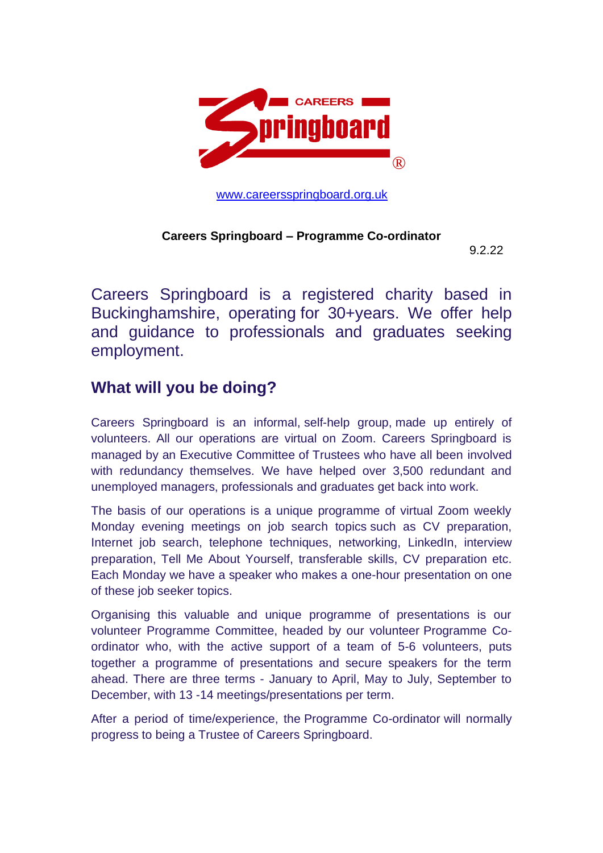

[www.careersspringboard.org.uk](http://www.careersspringboard.org.uk/)

#### **Careers Springboard – Programme Co-ordinator**

9.2.22

Careers Springboard is a registered charity based in Buckinghamshire, operating for 30+years. We offer help and guidance to professionals and graduates seeking employment.

# **What will you be doing?**

Careers Springboard is an informal, self-help group, made up entirely of volunteers. All our operations are virtual on Zoom. Careers Springboard is managed by an Executive Committee of Trustees who have all been involved with redundancy themselves. We have helped over 3,500 redundant and unemployed managers, professionals and graduates get back into work.

The basis of our operations is a unique programme of virtual Zoom weekly Monday evening meetings on job search topics such as CV preparation, Internet job search, telephone techniques, networking, LinkedIn, interview preparation, Tell Me About Yourself, transferable skills, CV preparation etc. Each Monday we have a speaker who makes a one-hour presentation on one of these job seeker topics.

Organising this valuable and unique programme of presentations is our volunteer Programme Committee, headed by our volunteer Programme Coordinator who, with the active support of a team of 5-6 volunteers, puts together a programme of presentations and secure speakers for the term ahead. There are three terms - January to April, May to July, September to December, with 13 -14 meetings/presentations per term.

After a period of time/experience, the Programme Co-ordinator will normally progress to being a Trustee of Careers Springboard.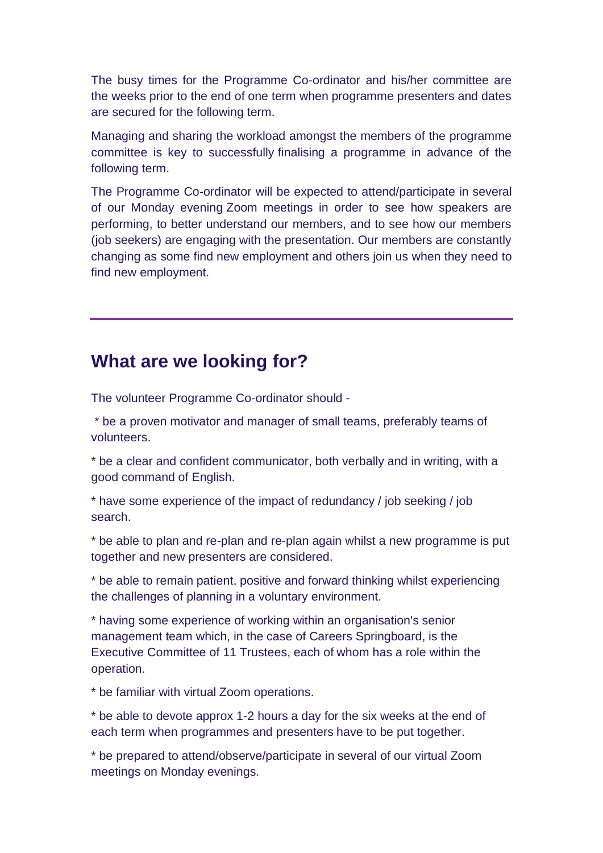The busy times for the Programme Co-ordinator and his/her committee are the weeks prior to the end of one term when programme presenters and dates are secured for the following term.

Managing and sharing the workload amongst the members of the programme committee is key to successfully finalising a programme in advance of the following term.

The Programme Co-ordinator will be expected to attend/participate in several of our Monday evening Zoom meetings in order to see how speakers are performing, to better understand our members, and to see how our members (job seekers) are engaging with the presentation. Our members are constantly changing as some find new employment and others join us when they need to find new employment.

## **What are we looking for?**

The volunteer Programme Co-ordinator should -

\* be a proven motivator and manager of small teams, preferably teams of volunteers.

\* be a clear and confident communicator, both verbally and in writing, with a good command of English.

\* have some experience of the impact of redundancy / job seeking / job search.

\* be able to plan and re-plan and re-plan again whilst a new programme is put together and new presenters are considered.

\* be able to remain patient, positive and forward thinking whilst experiencing the challenges of planning in a voluntary environment.

\* having some experience of working within an organisation's senior management team which, in the case of Careers Springboard, is the Executive Committee of 11 Trustees, each of whom has a role within the operation.

\* be familiar with virtual Zoom operations.

\* be able to devote approx 1-2 hours a day for the six weeks at the end of each term when programmes and presenters have to be put together.

\* be prepared to attend/observe/participate in several of our virtual Zoom meetings on Monday evenings.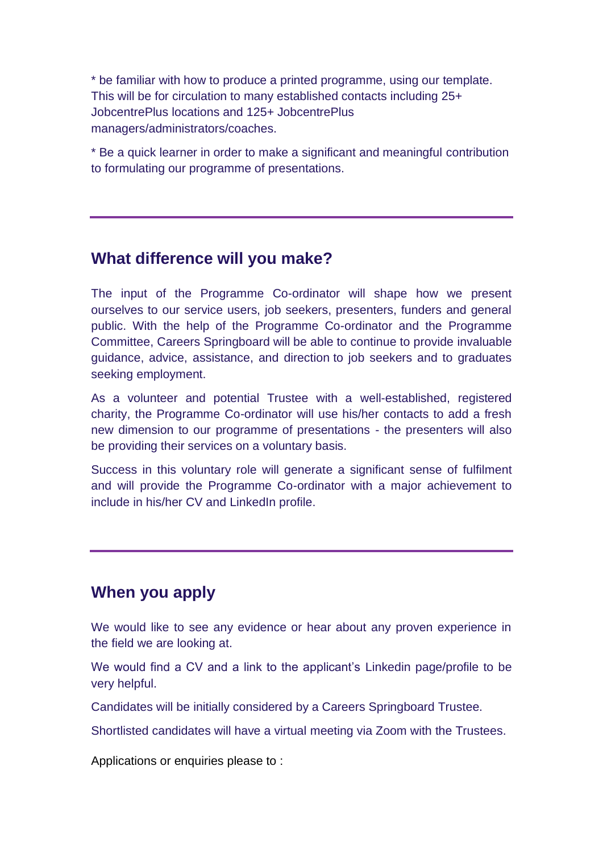\* be familiar with how to produce a printed programme, using our template. This will be for circulation to many established contacts including 25+ JobcentrePlus locations and 125+ JobcentrePlus managers/administrators/coaches.

\* Be a quick learner in order to make a significant and meaningful contribution to formulating our programme of presentations.

#### **What difference will you make?**

The input of the Programme Co-ordinator will shape how we present ourselves to our service users, job seekers, presenters, funders and general public. With the help of the Programme Co-ordinator and the Programme Committee, Careers Springboard will be able to continue to provide invaluable guidance, advice, assistance, and direction to job seekers and to graduates seeking employment.

As a volunteer and potential Trustee with a well-established, registered charity, the Programme Co-ordinator will use his/her contacts to add a fresh new dimension to our programme of presentations - the presenters will also be providing their services on a voluntary basis.

Success in this voluntary role will generate a significant sense of fulfilment and will provide the Programme Co-ordinator with a major achievement to include in his/her CV and LinkedIn profile.

## **When you apply**

We would like to see any evidence or hear about any proven experience in the field we are looking at.

We would find a CV and a link to the applicant's Linkedin page/profile to be very helpful.

Candidates will be initially considered by a Careers Springboard Trustee.

Shortlisted candidates will have a virtual meeting via Zoom with the Trustees.

Applications or enquiries please to :